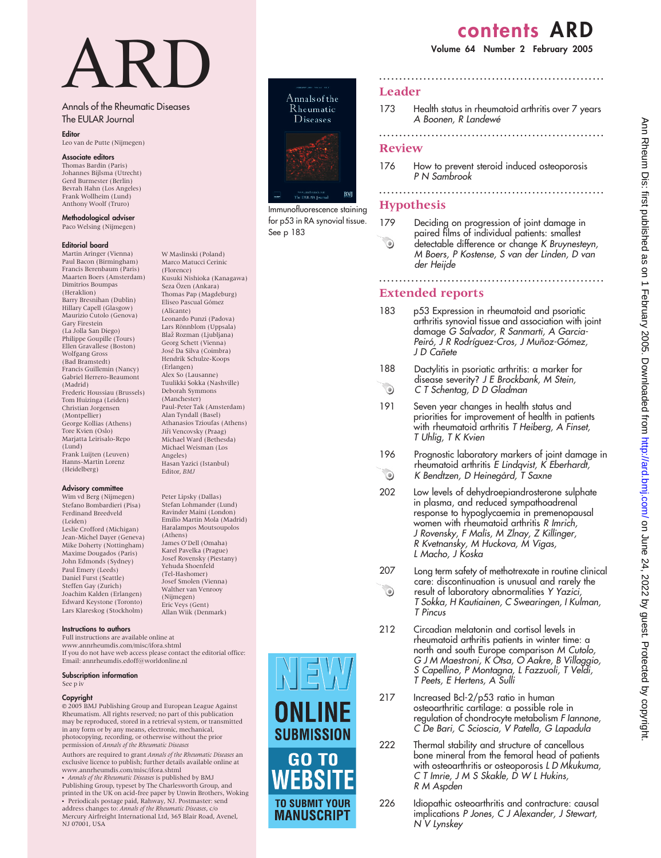# contents ARD

Volume 64 Number 2 February 2005

# ARD

W Maslinski (Poland) Marco Matucci Cerinic (Florence)

Kusuki Nishioka (Kanagawa) Seza Özen (Ankara) Thomas Pap (Magdeburg) Eliseo Pascual Gómez (Alicante)

Leonardo Punzi (Padova) Lars Rönnblom (Uppsala) Blaž Rozman (Ljubljana) Georg Schett (Vienna) Jose´ Da Silva (Coimbra) Hendrik Schulze-Koops (Erlangen) Alex So (Lausanne) Tuulikki Sokka (Nashville) Deborah Symmons (Manchester) Paul-Peter Tak (Amsterdam) Alan Tyndall (Basel) Athanasios Tzioufas (Athens) Jiři Vencovsky (Praag) Michael Ward (Bethesda) Michael Weisman (Los Angeles)

Hasan Yazici (Istanbul) Editor, BMJ

Peter Lipsky (Dallas) Stefan Lohmander (Lund) Ravinder Maini (London) Emilio Martin Mola (Madrid) Haralampos Moutsoupolos

(Athens) James O'Dell (Omaha) Karel Pavelka (Prague) Josef Rovensky (Piestany) Yehuda Shoenfeld (Tel-Hashomer) Josef Smolen (Vienna) Walther van Venrooy (Nijmegen) Eric Veys (Gent) Allan Wiik (Denmark)

# Annals of the Rheumatic Diseases The EULAR Journal

Editor

Leo van de Putte (Nijmegen)

## Associate editors

Thomas Bardin (Paris) Johannes Bijlsma (Utrecht) Gerd Burmester (Berlin) Bevrah Hahn (Los Angeles) Frank Wollheim (Lund) Anthony Woolf (Truro)

Methodological adviser Paco Welsing (Nijmegen)

### Editorial board

Martin Aringer (Vienna) Paul Bacon (Birmingham) Francis Berenbaum (Paris) Maarten Boers (Amsterdam) Dimitrios Boumpas (Heraklion) Barry Bresnihan (Dublin) Hillary Capell (Glasgow) Maurizio Cutolo (Genova) Gary Firestein (La Jolla San Diego) Philippe Goupille (Tours) Ellen Gravallese (Boston) Wolfgang Gross (Bad Bramstedt) Francis Guillemin (Nancy) Gabriel Herrero-Beaumont (Madrid) Frederic Houssiau (Brussels) Tom Huizinga (Leiden) Christian Jorgensen (Montpellier) George Kollias (Athens) Tore Kvien (Oslo) Marjatta Leirisalo-Repo (Lund) Frank Luijten (Leuven) Hanns-Martin Lorenz (Heidelberg)

### Advisory committee

Wim vd Berg (Nijmegen) Stefano Bombardieri (Pisa) Ferdinand Breedveld (Leiden) Leslie Crofford (Michigan) Jean-Michel Dayer (Geneva) Mike Doherty (Nottingham) Maxime Dougados (Paris) John Edmonds (Sydney) Paul Emery (Leeds) Daniel Furst (Seattle) Steffen Gay (Zurich) Joachim Kalden (Erlangen) Edward Keystone (Toronto) Lars Klareskog (Stockholm)

Instructions to authors

Full instructions are available online at www.annrheumdis.com/misc/ifora.shtml If you do not have web access please contact the editorial office: Email: annrheumdis.edoff@worldonline.nl

### Subscription information

See p iv

NJ 07001, USA

### Copyright

E 2005 BMJ Publishing Group and European League Against Rheumatism. All rights reserved; no part of this publication may be reproduced, stored in a retrieval system, or transmitted in any form or by any means, electronic, mechanical, photocopying, recording, or otherwise without the prior permission of Annals of the Rheumatic Diseases

Authors are required to grant Annals of the Rheumatic Diseases an exclusive licence to publish; further details available online at www.annrheumdis.com/misc/ifora.shtml

Annals of the Rheumatic Diseases is published by BMJ Publishing Group, typeset by The Charlesworth Group, and printed in the UK on acid-free paper by Unwin Brothers, Woking N Periodicals postage paid, Rahway, NJ. Postmaster: send address changes to: *Annals of the Rheumatic Diseases,* c/o<br>Mercury Airfreight International Ltd, 365 Blair Road, Avenel,



for p53 in RA synovial tissue. See p 183



# Leader

173 Health status in rheumatoid arthritis over 7 years A Boonen, R Landewé ........................................................

........................................................

# Review

176 How to prevent steroid induced osteoporosis P N Sambrook

# ........................................................ Hypothesis

179 Deciding on progression of joint damage in paired films of individual patients: smallest  $\odot$ detectable difference or change K Bruynesteyn, M Boers, P Kostense, S van der Linden, D van der Heijde

........................................................

# Extended reports

- 183 p53 Expression in rheumatoid and psoriatic arthritis synovial tissue and association with joint damage G Salvador, R Sanmarti, A Garcia-Peiró, J R Rodríguez-Cros, J Muñoz-Gómez, J D Cañete
- 188 Dactylitis in psoriatic arthritis: a marker for disease severity? J E Brockbank, M Stein,  $\odot$ C T Schentag, D D Gladman
- 191 Seven year changes in health status and priorities for improvement of health in patients with rheumatoid arthritis T Heiberg, A Finset, T Uhlig, T K Kvien
- 196 Prognostic laboratory markers of joint damage in rheumatoid arthritis E Lindqvist, K Eberhardt,  $\odot$ K Bendtzen, D Heinegård, T Saxne
- 202 Low levels of dehydroepiandrosterone sulphate in plasma, and reduced sympathoadrenal response to hypoglycaemia in premenopausal women with rheumatoid arthritis R Imrich, J Rovensky, F Malis, M Zlnay, Z Killinger, R Kvetnansky, M Huckova, M Vigas, L Macho, J Koska
- 207 Long term safety of methotrexate in routine clinical care: discontinuation is unusual and rarely the  $\odot$ result of laboratory abnormalities Y Yazici, T Sokka, H Kautiainen, C Swearingen, I Kulman, T Pincus
- 212 Circadian melatonin and cortisol levels in rheumatoid arthritis patients in winter time: a north and south Europe comparison M Cutolo, G J M Maestroni, K Otsa, O Aakre, B Villaggio, S Capellino, P Montagna, L Fazzuoli, T Veldi, T Peets, E Hertens, A Sulli
- 217 Increased Bcl-2/p53 ratio in human osteoarthritic cartilage: a possible role in regulation of chondrocyte metabolism F Iannone, C De Bari, C Scioscia, V Patella, G Lapadula
- 222 Thermal stability and structure of cancellous bone mineral from the femoral head of patients with osteoarthritis or osteoporosis LD Mkukuma, C T Imrie, J M S Skakle, D W L Hukins, R M Aspden
- 226 Idiopathic osteoarthritis and contracture: causal implications P Jones, C J Alexander, J Stewart, N V Lynskey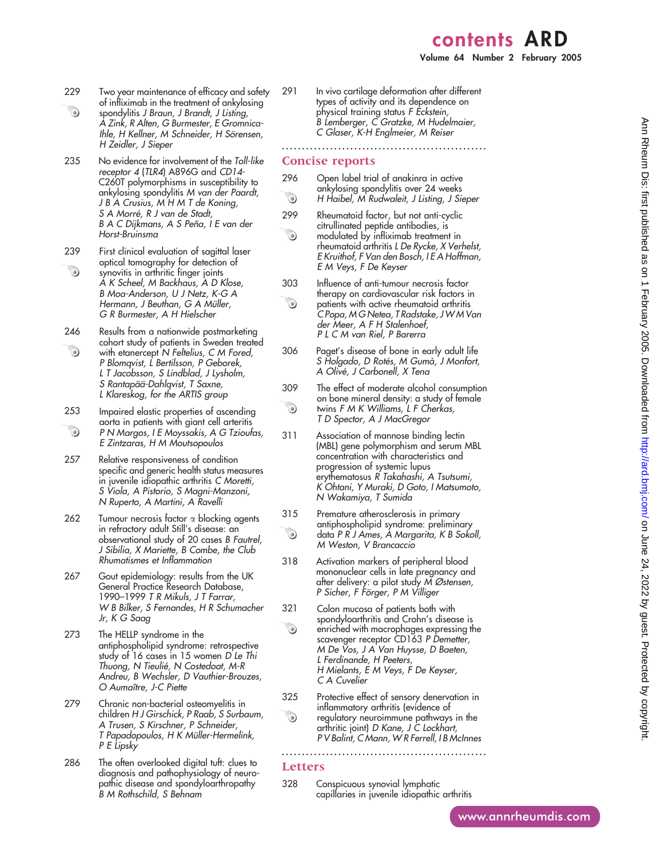# contents ARD Volume 64 Number 2 February 2005

- 229 Two year maintenance of efficacy and safety of infliximab in the treatment of ankylosing
- $\odot$ spondylitis J Braun, J Brandt, J Listing, A Zink, R Alten, G Burmester, E Gromnica-Ihle, H Kellner, M Schneider, H Sörensen, H Zeidler, J Sieper
- 235 No evidence for involvement of the Toll-like receptor 4 (TLR4) A896G and CD14- C260T polymorphisms in susceptibility to ankylosing spondylitis M van der Paardt, J B A Crusius, M H M T de Koning, S A Morré, R J van de Stadt, B A C Dijkmans, A S Peña, I E van der Horst-Bruinsma
- 239 First clinical evaluation of sagittal laser optical tomography for detection of  $\begin{picture}(220,20) \put(0,0){\line(1,0){10}} \put(15,0){\line(1,0){10}} \put(15,0){\line(1,0){10}} \put(15,0){\line(1,0){10}} \put(15,0){\line(1,0){10}} \put(15,0){\line(1,0){10}} \put(15,0){\line(1,0){10}} \put(15,0){\line(1,0){10}} \put(15,0){\line(1,0){10}} \put(15,0){\line(1,0){10}} \put(15,0){\line(1,0){10}} \put(15,0){\line($ synovitis in arthritic finger joints A K Scheel, M Backhaus, A D Klose, B Moa-Anderson, U J Netz, K-G A Hermann, J Beuthan, G A Müller, G R Burmester, A H Hielscher
- 246 Results from a nationwide postmarketing cohort study of patients in Sweden treated  $\odot$ with etanercept N Feltelius, C M Fored, P Blomqvist, L Bertilsson, P Geborek, L T Jacobsson, S Lindblad, J Lysholm, S Rantapää-Dahlqvist, T Saxne, L Klareskog, for the ARTIS group
- 253 Impaired elastic properties of ascending aorta in patients with giant cell arteritis  $\odot$ P N Margos, I E Moyssakis, A G Tzioufas, E Zintzaras, H M Moutsopoulos
- 257 Relative responsiveness of condition specific and generic health status measures in juvenile idiopathic arthritis C Moretti, S Viola, A Pistorio, S Magni-Manzoni, N Ruperto, A Martini, A Ravelli
- 262 Tumour necrosis factor  $\alpha$  blocking agents in refractory adult Still's disease: an observational study of 20 cases B Fautrel, J Sibilia, X Mariette, B Combe, the Club Rhumatismes et Inflammation
- 267 Gout epidemiology: results from the UK General Practice Research Database, 1990–1999 T R Mikuls, J T Farrar, W B Bilker, S Fernandes, H R Schumacher Jr, K G Saag
- 273 The HELLP syndrome in the antiphospholipid syndrome: retrospective study of 16 cases in 15 women D Le Thi Thuong, N Tieulié, N Costedoat, M-R Andreu, B Wechsler, D Vauthier-Brouzes, O Aumaître, J-C Piette
- 279 Chronic non-bacterial osteomyelitis in children H J Girschick, P Raab, S Surbaum, A Trusen, S Kirschner, P Schneider, T Papadopoulos, H K Müller-Hermelink, P E Lipsky
- 286 The often overlooked digital tuft: clues to diagnosis and pathophysiology of neuropathic disease and spondyloarthropathy B M Rothschild, S Behnam
- 
- 291 In vivo cartilage deformation after different types of activity and its dependence on physical training status F Eckstein, B Lemberger, C Gratzke, M Hudelmaier, C Glaser, K-H Englmeier, M Reiser

# Concise reports

296 Open label trial of anakinra in active ankylosing spondylitis over 24 weeks  $\odot$ H Haibel, M Rudwaleit, J Listing, J Sieper

...................................................

- 299 Rheumatoid factor, but not anti-cyclic citrullinated peptide antibodies, is  $\odot$ modulated by infliximab treatment in rheumatoid arthritis L De Rycke, X Verhelst, E Kruithof, F Van den Bosch, I E A Hoffman, E M Veys, F De Keyser
- 303 Influence of anti-tumour necrosis factor therapy on cardiovascular risk factors in  $\odot$ patients with active rheumatoid arthritis C Popa, M G Netea, T Radstake, J W M Van der Meer, A F H Stalenhoef, P L C M van Riel, P Barerra
- 306 Paget's disease of bone in early adult life S Holgado, D Rotés, M Gumà, J Montort, A Olive´, J Carbonell, X Tena
- 309 The effect of moderate alcohol consumption on bone mineral density: a study of female  $\odot$ twins F M K Williams, L F Cherkas, T D Spector, A J MacGregor
- 311 Association of mannose binding lectin (MBL) gene polymorphism and serum MBL concentration with characteristics and progression of systemic lupus erythematosus R Takahashi, A Tsutsumi, K Ohtani, Y Muraki, D Goto, I Matsumoto, N Wakamiya, T Sumida
- 315 Premature atherosclerosis in primary antiphospholipid syndrome: preliminary  $\odot$ data P R J Ames, A Margarita, K B Sokoll, M Weston, V Brancaccio
- 318 Activation markers of peripheral blood mononuclear cells in late pregnancy and after delivery: a pilot study M Østensen, P Sicher, F Förger, P M Villiger
- 321 Colon mucosa of patients both with spondyloarthritis and Crohn's disease is  $\odot$ enriched with macrophages expressing the scavenger receptor CD163 P Demetter, M De Vos, J A Van Huysse, D Baeten, L Ferdinande, H Peeters, H Mielants, E M Veys, F De Keyser, C A Cuvelier
- 325 Protective effect of sensory denervation in inflammatory arthritis (evidence of  $\odot$ regulatory neuroimmune pathways in the arthritic joint) D Kane, J C Lockhart, P V Balint, C Mann, W R Ferrell, I B McInnes

...................................................

# Letters

328 Conspicuous synovial lymphatic capillaries in juvenile idiopathic arthritis